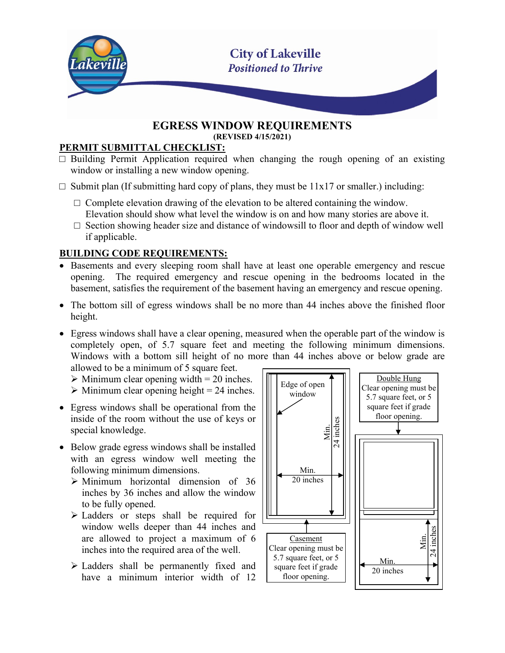

#### EGRESS WINDOW REQUIREMENTS (REVISED 4/15/2021)

#### PERMIT SUBMITTAL CHECKLIST:

- $\square$  Building Permit Application required when changing the rough opening of an existing window or installing a new window opening.
- $\square$  Submit plan (If submitting hard copy of plans, they must be  $11x17$  or smaller.) including:
	- $\Box$  Complete elevation drawing of the elevation to be altered containing the window. Elevation should show what level the window is on and how many stories are above it.
	- $\square$  Section showing header size and distance of windowsill to floor and depth of window well if applicable.

## BUILDING CODE REQUIREMENTS:

- Basements and every sleeping room shall have at least one operable emergency and rescue opening. The required emergency and rescue opening in the bedrooms located in the basement, satisfies the requirement of the basement having an emergency and rescue opening.
- The bottom sill of egress windows shall be no more than 44 inches above the finished floor height.
- Egress windows shall have a clear opening, measured when the operable part of the window is completely open, of 5.7 square feet and meeting the following minimum dimensions. Windows with a bottom sill height of no more than 44 inches above or below grade are allowed to be a minimum of 5 square feet.

 $\triangleright$  Minimum clear opening width = 20 inches.

- $\triangleright$  Minimum clear opening height = 24 inches.
- Egress windows shall be operational from the inside of the room without the use of keys or special knowledge.
- Below grade egress windows shall be installed with an egress window well meeting the following minimum dimensions.
	- $\triangleright$  Minimum horizontal dimension of 36 inches by 36 inches and allow the window to be fully opened.
	- Ladders or steps shall be required for window wells deeper than 44 inches and are allowed to project a maximum of 6 inches into the required area of the well.
	- Ladders shall be permanently fixed and have a minimum interior width of 12